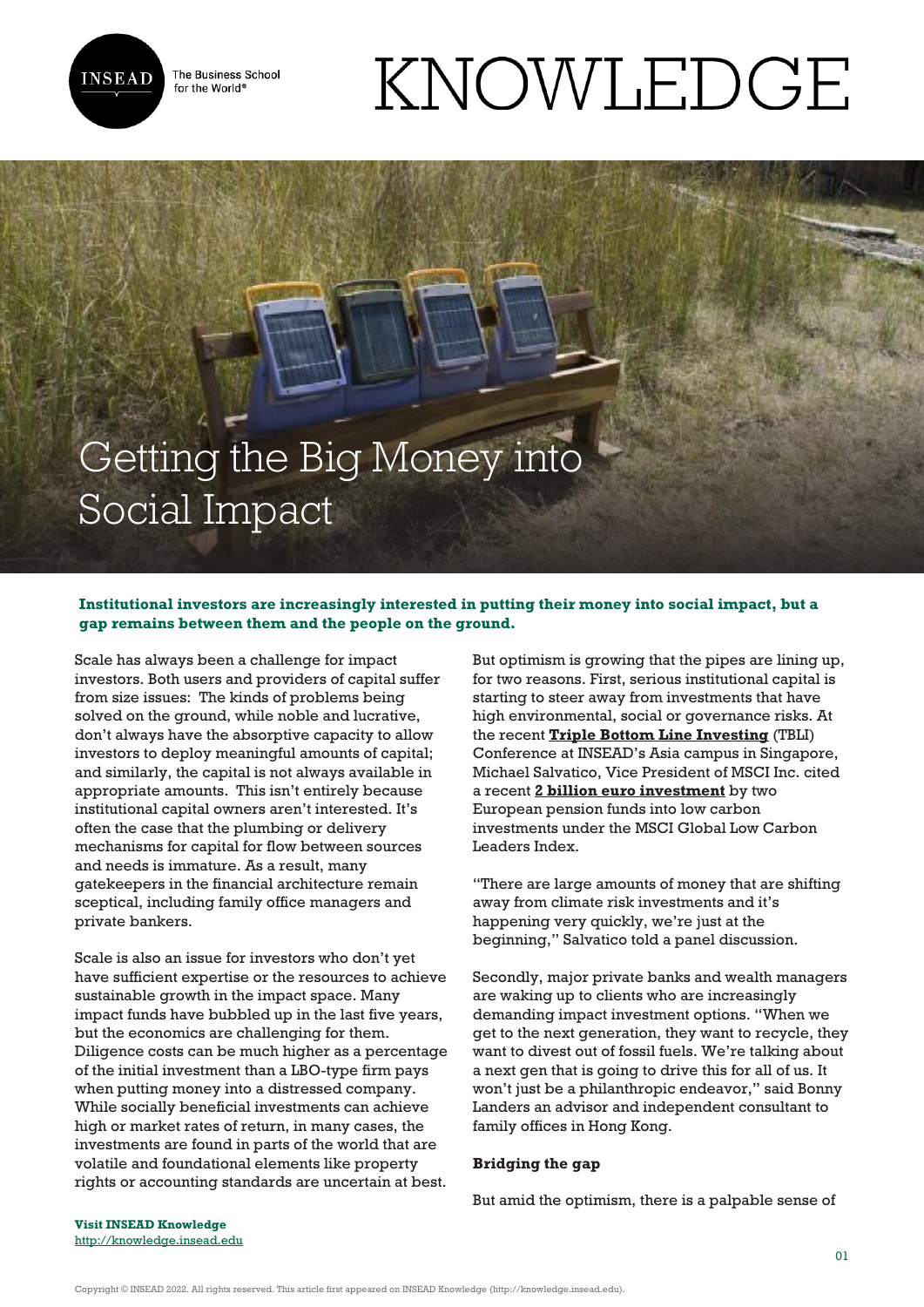

The Business School for the World<sup>®</sup>

# KNOWLEDGE

# Getting the Big Money into Social Impact

## **Institutional investors are increasingly interested in putting their money into social impact, but a gap remains between them and the people on the ground.**

Scale has always been a challenge for impact investors. Both users and providers of capital suffer from size issues: The kinds of problems being solved on the ground, while noble and lucrative, don't always have the absorptive capacity to allow investors to deploy meaningful amounts of capital; and similarly, the capital is not always available in appropriate amounts. This isn't entirely because institutional capital owners aren't interested. It's often the case that the plumbing or delivery mechanisms for capital for flow between sources and needs is immature. As a result, many gatekeepers in the financial architecture remain sceptical, including family office managers and private bankers.

Scale is also an issue for investors who don't yet have sufficient expertise or the resources to achieve sustainable growth in the impact space. Many impact funds have bubbled up in the last five years, but the economics are challenging for them. Diligence costs can be much higher as a percentage of the initial investment than a LBO-type firm pays when putting money into a distressed company. While socially beneficial investments can achieve high or market rates of return, in many cases, the investments are found in parts of the world that are volatile and foundational elements like property rights or accounting standards are uncertain at best. But optimism is growing that the pipes are lining up, for two reasons. First, serious institutional capital is starting to steer away from investments that have high environmental, social or governance risks. At the recent **[Triple Bottom Line Investing](http://www.tbligroup.com/tbliconference.html)** (TBLI) Conference at INSEAD's Asia campus in Singapore, Michael Salvatico, Vice President of MSCI Inc. cited a recent **[2 billion euro investment](http://www.businesswire.com/news/home/20140916005137/en/MSCI-Launches-Innovative-Family-Carbon-Indexes#.VWfptNKUeW2)** by two European pension funds into low carbon investments under the MSCI Global Low Carbon Leaders Index.

"There are large amounts of money that are shifting away from climate risk investments and it's happening very quickly, we're just at the beginning," Salvatico told a panel discussion.

Secondly, major private banks and wealth managers are waking up to clients who are increasingly demanding impact investment options. "When we get to the next generation, they want to recycle, they want to divest out of fossil fuels. We're talking about a next gen that is going to drive this for all of us. It won't just be a philanthropic endeavor," said Bonny Landers an advisor and independent consultant to family offices in Hong Kong.

### **Bridging the gap**

But amid the optimism, there is a palpable sense of

**Visit INSEAD Knowledge** <http://knowledge.insead.edu>

Copyright © INSEAD 2022. All rights reserved. This article first appeared on INSEAD Knowledge (http://knowledge.insead.edu).